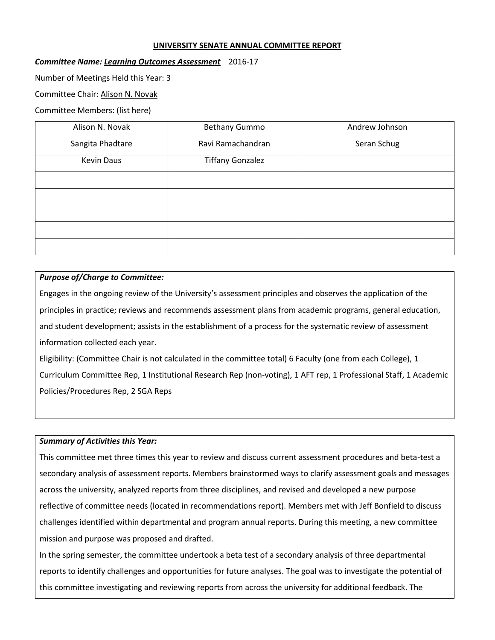### **UNIVERSITY SENATE ANNUAL COMMITTEE REPORT**

### *Committee Name: Learning Outcomes Assessment* 2016-17

Number of Meetings Held this Year: 3

Committee Chair: Alison N. Novak

Committee Members: (list here)

| Alison N. Novak   | <b>Bethany Gummo</b>    | Andrew Johnson |
|-------------------|-------------------------|----------------|
| Sangita Phadtare  | Ravi Ramachandran       | Seran Schug    |
| <b>Kevin Daus</b> | <b>Tiffany Gonzalez</b> |                |
|                   |                         |                |
|                   |                         |                |
|                   |                         |                |
|                   |                         |                |
|                   |                         |                |

### *Purpose of/Charge to Committee:*

Engages in the ongoing review of the University's assessment principles and observes the application of the principles in practice; reviews and recommends assessment plans from academic programs, general education, and student development; assists in the establishment of a process for the systematic review of assessment information collected each year.

Eligibility: (Committee Chair is not calculated in the committee total) 6 Faculty (one from each College), 1 Curriculum Committee Rep, 1 Institutional Research Rep (non-voting), 1 AFT rep, 1 Professional Staff, 1 Academic Policies/Procedures Rep, 2 SGA Reps

### *Summary of Activities this Year:*

This committee met three times this year to review and discuss current assessment procedures and beta-test a secondary analysis of assessment reports. Members brainstormed ways to clarify assessment goals and messages across the university, analyzed reports from three disciplines, and revised and developed a new purpose reflective of committee needs (located in recommendations report). Members met with Jeff Bonfield to discuss challenges identified within departmental and program annual reports. During this meeting, a new committee mission and purpose was proposed and drafted.

In the spring semester, the committee undertook a beta test of a secondary analysis of three departmental reports to identify challenges and opportunities for future analyses. The goal was to investigate the potential of this committee investigating and reviewing reports from across the university for additional feedback. The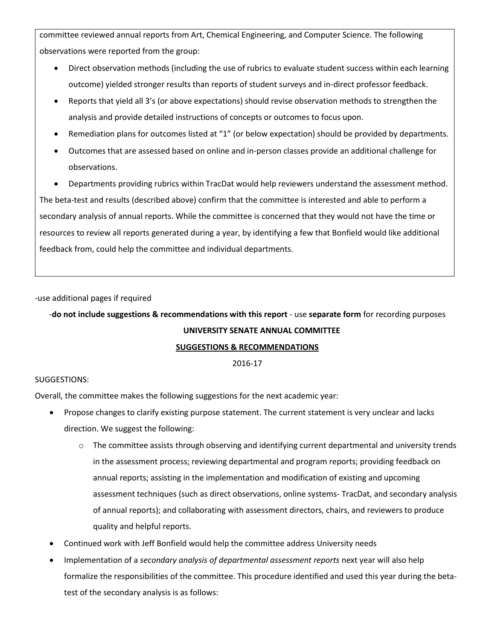committee reviewed annual reports from Art, Chemical Engineering, and Computer Science. The following observations were reported from the group:

- Direct observation methods (including the use of rubrics to evaluate student success within each learning outcome) yielded stronger results than reports of student surveys and in-direct professor feedback.
- Reports that yield all 3's (or above expectations) should revise observation methods to strengthen the analysis and provide detailed instructions of concepts or outcomes to focus upon.
- Remediation plans for outcomes listed at "1" (or below expectation) should be provided by departments.
- Outcomes that are assessed based on online and in-person classes provide an additional challenge for observations.

 Departments providing rubrics within TracDat would help reviewers understand the assessment method. The beta-test and results (described above) confirm that the committee is interested and able to perform a secondary analysis of annual reports. While the committee is concerned that they would not have the time or resources to review all reports generated during a year, by identifying a few that Bonfield would like additional feedback from, could help the committee and individual departments.

-use additional pages if required

# -**do not include suggestions & recommendations with this report** - use **separate form** for recording purposes **UNIVERSITY SENATE ANNUAL COMMITTEE**

## **SUGGESTIONS & RECOMMENDATIONS**

2016-17

## SUGGESTIONS:

Overall, the committee makes the following suggestions for the next academic year:

- Propose changes to clarify existing purpose statement. The current statement is very unclear and lacks direction. We suggest the following:
	- $\circ$  The committee assists through observing and identifying current departmental and university trends in the assessment process; reviewing departmental and program reports; providing feedback on annual reports; assisting in the implementation and modification of existing and upcoming assessment techniques (such as direct observations, online systems- TracDat, and secondary analysis of annual reports); and collaborating with assessment directors, chairs, and reviewers to produce quality and helpful reports.
- Continued work with Jeff Bonfield would help the committee address University needs
- Implementation of a *secondary analysis of departmental assessment reports* next year will also help formalize the responsibilities of the committee. This procedure identified and used this year during the betatest of the secondary analysis is as follows: